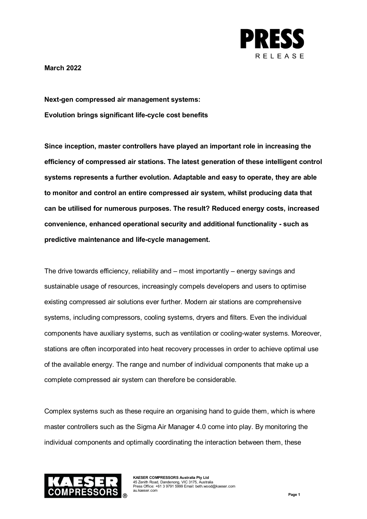

**March 2022**

**Next-gen compressed air management systems: Evolution brings significant life-cycle cost benefits**

**Since inception, master controllers have played an important role in increasing the efficiency of compressed air stations. The latest generation of these intelligent control systems represents a further evolution. Adaptable and easy to operate, they are able to monitor and control an entire compressed air system, whilst producing data that can be utilised for numerous purposes. The result? Reduced energy costs, increased convenience, enhanced operational security and additional functionality - such as predictive maintenance and life-cycle management.** 

The drive towards efficiency, reliability and – most importantly – energy savings and sustainable usage of resources, increasingly compels developers and users to optimise existing compressed air solutions ever further. Modern air stations are comprehensive systems, including compressors, cooling systems, dryers and filters. Even the individual components have auxiliary systems, such as ventilation or cooling-water systems. Moreover, stations are often incorporated into heat recovery processes in order to achieve optimal use of the available energy. The range and number of individual components that make up a complete compressed air system can therefore be considerable.

Complex systems such as these require an organising hand to guide them, which is where master controllers such as the Sigma Air Manager 4.0 come into play. By monitoring the individual components and optimally coordinating the interaction between them, these

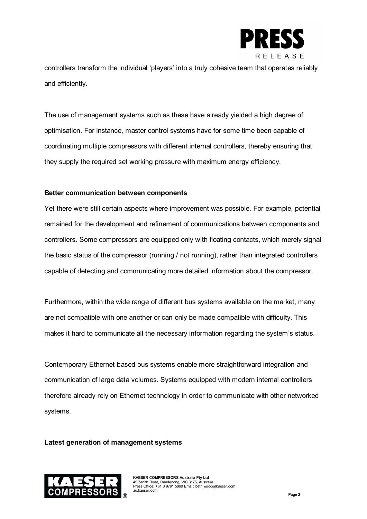

controllers transform the individual 'players' into a truly cohesive team that operates reliably and efficiently.

The use of management systems such as these have already yielded a high degree of optimisation. For instance, master control systems have for some time been capable of coordinating multiple compressors with different internal controllers, thereby ensuring that they supply the required set working pressure with maximum energy efficiency.

# **Better communication between components**

Yet there were still certain aspects where improvement was possible. For example, potential remained for the development and refinement of communications between components and controllers. Some compressors are equipped only with floating contacts, which merely signal the basic status of the compressor (running / not running), rather than integrated controllers capable of detecting and communicating more detailed information about the compressor.

Furthermore, within the wide range of different bus systems available on the market, many are not compatible with one another or can only be made compatible with difficulty. This makes it hard to communicate all the necessary information regarding the system's status.

Contemporary Ethernet-based bus systems enable more straightforward integration and communication of large data volumes. Systems equipped with modern internal controllers therefore already rely on Ethernet technology in order to communicate with other networked systems.

## **Latest generation of management systems**

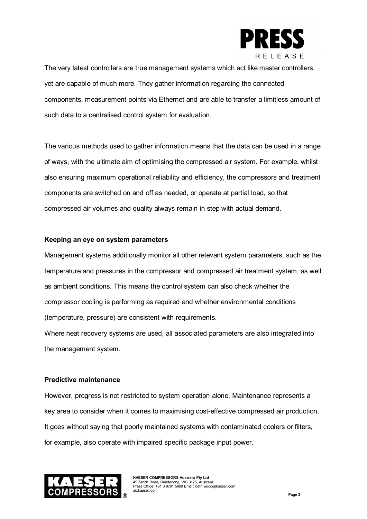

The very latest controllers are true management systems which act like master controllers, yet are capable of much more. They gather information regarding the connected components, measurement points via Ethernet and are able to transfer a limitless amount of such data to a centralised control system for evaluation.

The various methods used to gather information means that the data can be used in a range of ways, with the ultimate aim of optimising the compressed air system. For example, whilst also ensuring maximum operational reliability and efficiency, the compressors and treatment components are switched on and off as needed, or operate at partial load, so that compressed air volumes and quality always remain in step with actual demand.

## **Keeping an eye on system parameters**

Management systems additionally monitor all other relevant system parameters, such as the temperature and pressures in the compressor and compressed air treatment system, as well as ambient conditions. This means the control system can also check whether the compressor cooling is performing as required and whether environmental conditions (temperature, pressure) are consistent with requirements.

Where heat recovery systems are used, all associated parameters are also integrated into the management system.

# **Predictive maintenance**

However, progress is not restricted to system operation alone. Maintenance represents a key area to consider when it comes to maximising cost-effective compressed air production. It goes without saying that poorly maintained systems with contaminated coolers or filters, for example, also operate with impaired specific package input power.

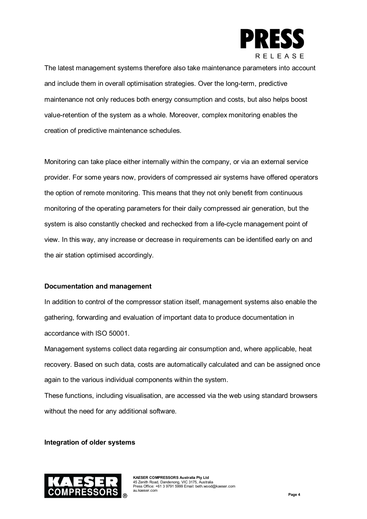

The latest management systems therefore also take maintenance parameters into account and include them in overall optimisation strategies. Over the long-term, predictive maintenance not only reduces both energy consumption and costs, but also helps boost value-retention of the system as a whole. Moreover, complex monitoring enables the creation of predictive maintenance schedules.

Monitoring can take place either internally within the company, or via an external service provider. For some years now, providers of compressed air systems have offered operators the option of remote monitoring. This means that they not only benefit from continuous monitoring of the operating parameters for their daily compressed air generation, but the system is also constantly checked and rechecked from a life-cycle management point of view. In this way, any increase or decrease in requirements can be identified early on and the air station optimised accordingly.

# **Documentation and management**

In addition to control of the compressor station itself, management systems also enable the gathering, forwarding and evaluation of important data to produce documentation in accordance with ISO 50001.

Management systems collect data regarding air consumption and, where applicable, heat recovery. Based on such data, costs are automatically calculated and can be assigned once again to the various individual components within the system.

These functions, including visualisation, are accessed via the web using standard browsers without the need for any additional software.

## **Integration of older systems**

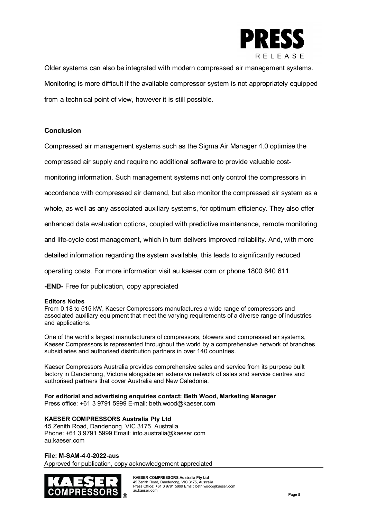

Older systems can also be integrated with modern compressed air management systems. Monitoring is more difficult if the available compressor system is not appropriately equipped from a technical point of view, however it is still possible.

## **Conclusion**

Compressed air management systems such as the Sigma Air Manager 4.0 optimise the

compressed air supply and require no additional software to provide valuable cost-

monitoring information. Such management systems not only control the compressors in

accordance with compressed air demand, but also monitor the compressed air system as a

whole, as well as any associated auxiliary systems, for optimum efficiency. They also offer

enhanced data evaluation options, coupled with predictive maintenance, remote monitoring

and life-cycle cost management, which in turn delivers improved reliability. And, with more

detailed information regarding the system available, this leads to significantly reduced

operating costs. For more information visit au.kaeser.com or phone 1800 640 611.

**-END-** Free for publication, copy appreciated

### **Editors Notes**

From 0.18 to 515 kW, Kaeser Compressors manufactures a wide range of compressors and associated auxiliary equipment that meet the varying requirements of a diverse range of industries and applications.

One of the world's largest manufacturers of compressors, blowers and compressed air systems, Kaeser Compressors is represented throughout the world by a comprehensive network of branches, subsidiaries and authorised distribution partners in over 140 countries.

Kaeser Compressors Australia provides comprehensive sales and service from its purpose built factory in Dandenong, Victoria alongside an extensive network of sales and service centres and authorised partners that cover Australia and New Caledonia.

### **For editorial and advertising enquiries contact: Beth Wood, Marketing Manager**

Press office: +61 3 9791 5999 E-mail: beth.wood@kaeser.com

## **KAESER COMPRESSORS Australia Pty Ltd**

45 Zenith Road, Dandenong, VIC 3175, Australia Phone: +61 3 9791 5999 Email: info.australia@kaeser.com au.kaeser.com

### **File: M-SAM-4-0-2022-aus**

Approved for publication, copy acknowledgement appreciated